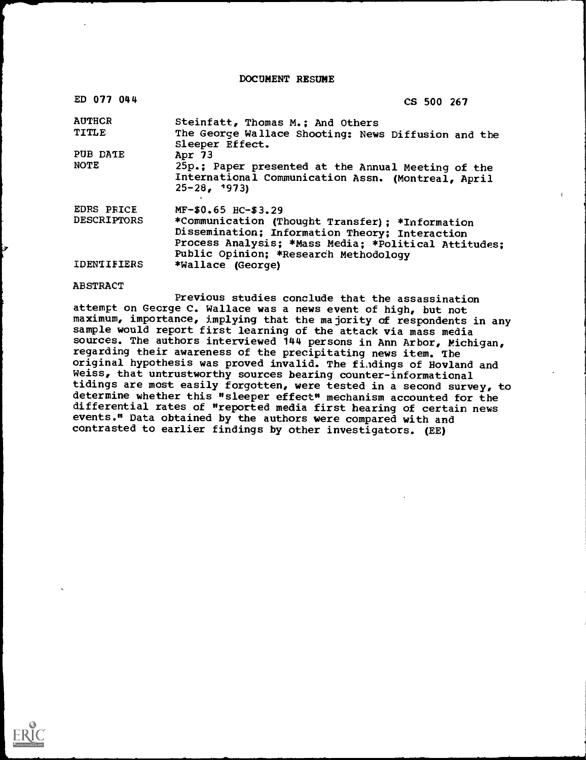DOCUMENT RESUME

| ED 077 044         | CS 500 267                                                                                                                                                                                         |
|--------------------|----------------------------------------------------------------------------------------------------------------------------------------------------------------------------------------------------|
| <b>AUTHCR</b>      | Steinfatt, Thomas M.; And Others                                                                                                                                                                   |
| <b>TITLE</b>       | The George Wallace Shooting: News Diffusion and the<br>Sleeper Effect.                                                                                                                             |
| PUB DATE           | Apr $73$                                                                                                                                                                                           |
| <b>NOTE</b>        | 25p.; Paper presented at the Annual Meeting of the<br>International Communication Assn. (Montreal, April<br>$25 - 28$ , 1973)                                                                      |
| EDRS PRICE         | MF-\$0.65 HC-\$3.29                                                                                                                                                                                |
| <b>DESCRIPTORS</b> | *Communication (Thought Transfer); *Information<br>Dissemination; Information Theory; Interaction<br>Process Analysis; *Mass Media; *Political Attitudes;<br>Public Opinion; *Research Methodology |
| IDENTIFIERS        | *Wallace (George)                                                                                                                                                                                  |

#### ABSTRACT

Previous studies conclude that the assassination attempt on George C. Wallace was a news event of high, but not maximum, importance, implying that the majority of respondents in any sample would report first learning of the attack via mass media sources. The authors interviewed 144 persons in Ann Arbor, Michigan, regarding their awareness of the precipitating news item. The original hypothesis was proved invalid. The fiadings of Hovland and Weiss, that untrustworthy sources bearing counter-informational tidings are most easily forgotten, were tested in a second survey, to determine whether this "sleeper effect" mechanism accounted for the differential rates of "reported media first hearing of certain news events." Data obtained by the authors were compared with and contrasted to earlier findings by other investigators. (EE)

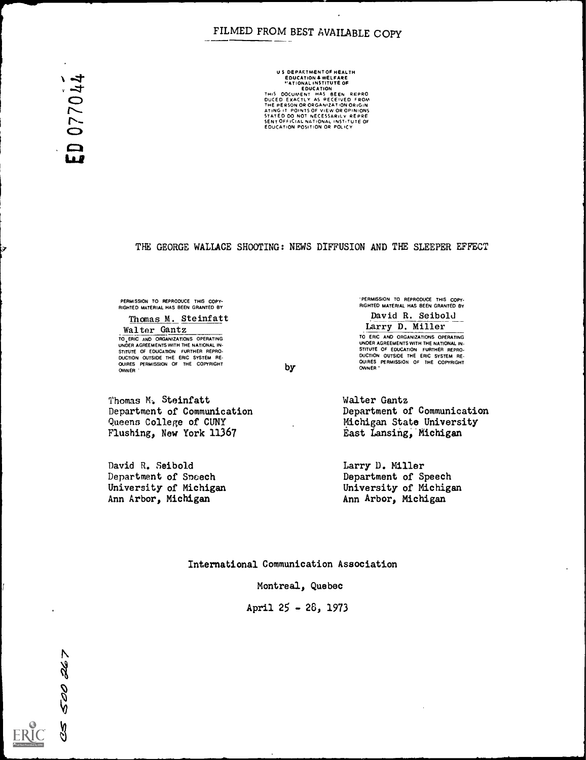# FILMED FROM BEST AVAILABLE COPY

ED 077044

US DEPARTMENTOF HEALTH<br>
EDUCATION & WELFARE<br>
"ATIONAL INSTITUTE OF<br>
"ATIONAL INSTITUTE OF<br>
EDUCATION AND REFRO<br>
THIS DOCUMENT HAS BEEN REPRO<br>
DUCED EXACTLY AS PECEIVED FROM<br>
ATING IT POINTS OF VIEW OR OPINIONS<br>
STATED DO N

#### THE GEORGE WALLACE SHOOTING: NEWS DIFFUSION AND THE SLEEPER EFFECT

PERMISSION TO REPRODUCE THIS COPY-<br>RIGHTED MATERIAL HAS BEEN GRANTED BY

Thomas M. Steinfatt Walter Gantz TO ERIC AND ORGANIZATIONS OPERATING<br>UNDER AGREEMENTS WITH THE NATIONAL IN-STITUTE OF EDUCATION FURTHER REPRO- DUCTION OUTSIDE THE ERIC SYSTEM RE- OUIRES PERMISSION OF THE COPYRIGHT OWNER

Thomas M.. Steinfatt Department of Communication

'PERMISSION TO REPRODUCE THIS COPY- RIGHTED MATERIAL HAS BEEN GRANTED BY David R. Seibold

Larry D. Miller TO ERIC AND ORGANIZATIONS OPERATING UNDER AGREEMENTS WITH THE NATIONAL IN- STITUTE OF EDUCATION FURTHER REPRO-<br>DUCTION OUTSIDE THE ERIC SYSTEM RE-<br>QUIRES PERMISSION OF THE COPYRIGHT<br>OWNER"

Walter Gantz Department of Communication Michigan State University East Lansing, Michigan

Larry D. Miller Department of Speech University of Michigan Ann Arbor, Michigan

David R. Seibold

Department of Speech University of Michigan Ann Arbor, Michigan

Queens College of CUNY Flushing, New York 11367

International Communication Association

by

Montreal, Quebec

April 25 - 26, 1973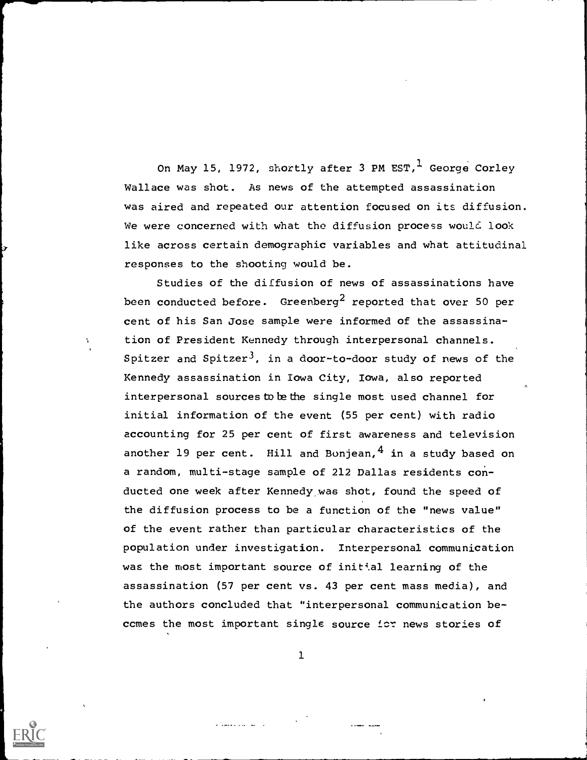On May 15, 1972, shortly after 3 PM EST, George Corley Wallace was shot. As news of the attempted assassination was aired and repeated our attention focused on its diffusion. We were concerned with what the diffusion process would look like across certain demographic variables and what attitudinal responses to the shooting would be.

Studies of the diffusion of news of assassinations have been conducted before. Greenberg<sup>2</sup> reported that over 50 per cent of his San Jose sample were informed of the assassination of President Kennedy through interpersonal channels. Spitzer and Spitzer<sup>3</sup>, in a door-to-door study of news of the Kennedy assassination in Iowa City, Iowa, also reported interpersonal sources to be the single most used channel for initial information of the event (55 per cent) with radio accounting for 25 per cent of first awareness and television another 19 per cent. Hill and Bonjean,  $4$  in a study based on a random, multi-stage sample of 212 Dallas residents conducted one week after Kennedy was shot, found the speed of the diffusion process to be a function of the "news value" of the event rather than particular characteristics of the population under investigation. Interpersonal communication was the most important source of initial learning of the assassination (57 per cent vs. 43 per cent mass media), and the authors concluded that "interpersonal communication beccmes the most important single source icr news stories of



1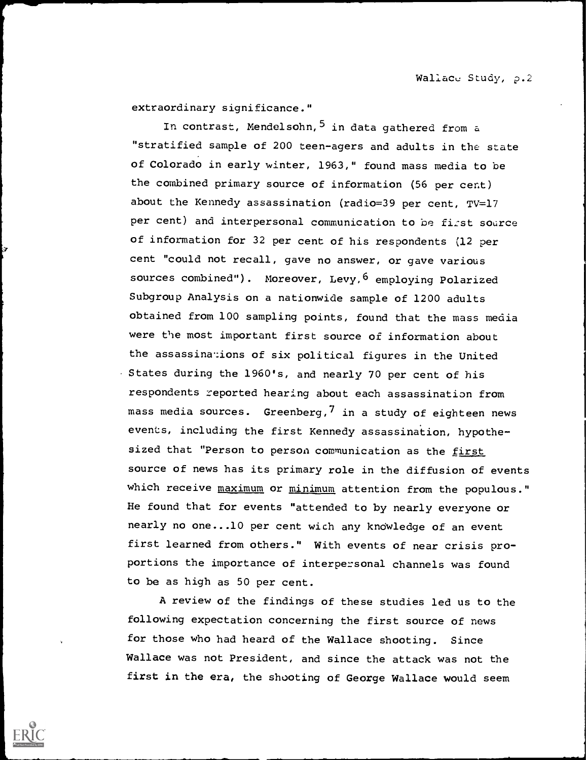extraordinary significance."

In contrast, Mendelsohn, 5 in data gathered from a "stratified sample of 200 teen-agers and adults in the state of Colorado in early winter, 1963," found mass media to be the combined primary source of information (56 per cent) about the Kennedy assassination (radio=39 per cent, TV=17 per cent) and interpersonal communication to be first source of information for 32 per cent of his respondents (12 per cent "could not recall, gave no answer, or gave various sources combined"). Moreover, Levy, 6 employing Polarized Subgroup Analysis on a nationwide sample of 1200 adults obtained from 100 sampling points, found that the mass media were the most important first source of information about the assassinations of six political figures in the United States during the 1960's, and nearly 70 per cent of his respondents reported hearing about each assassination from mass media sources. Greenberg,  $7$  in a study of eighteen news events, including the first Kennedy assassination, hypothesized that "Person to person communication as the first source of news has its primary role in the diffusion of events which receive maximum or minimum attention from the populous." He found that for events "attended to by nearly everyone or nearly no one...10 per cent with any knowledge of an event first learned from others." With events of near crisis proportions the importance of interpersonal channels was found to be as high as 50 per cent.

A review of the findings of these studies led us to the following expectation concerning the first source of news for those who had heard of the Wallace shooting. Since Wallace was not President, and since the attack was not the first in the era, the shooting of George Wallace would seem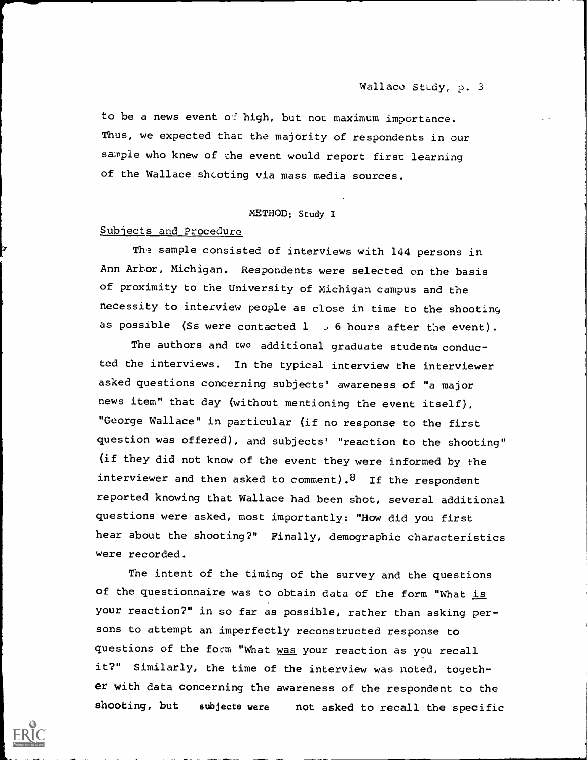to be a news event of high, but not maximum importance. Thus, we expected that the majority of respondents in our sample who knew of the event would report first learning of the Wallace shcoting via mass media sources.

### METHOD: Study I

### Subjects and Procedure

The sample consisted of interviews with 144 persons in Ann Arbor, Michigan. Respondents were selected on the basis of proximity to the University of Michigan campus and the necessity to interview people as close in time to the shooting as possible (Ss were contacted  $1$  , 6 hours after the event).

The authors and two additional graduate students conducted the interviews. In the typical interview the interviewer asked questions concerning subjects' awareness of "a major news item" that day (without mentioning the event itself), "George Wallace" in particular (if no response to the first question was offered), and subjects' "reaction to the shooting" (if they did not know of the event they were informed by the interviewer and then asked to comment).  $8$  If the respondent reported knowing that Wallace had been shot, several additional questions were asked, most importantly: "How did you first hear about the shooting?" Finally, demographic characteristics were recorded.

The intent of the timing of the survey and the questions of the questionnaire was to obtain data of the form "What is your reaction?" in so far as possible, rather than asking persons to attempt an imperfectly reconstructed response to questions of the form "What was your reaction as you recall it?" Similarly, the time of the interview was noted, together with data concerning the awareness of the respondent to the shooting, but subjects were not asked to recall the specific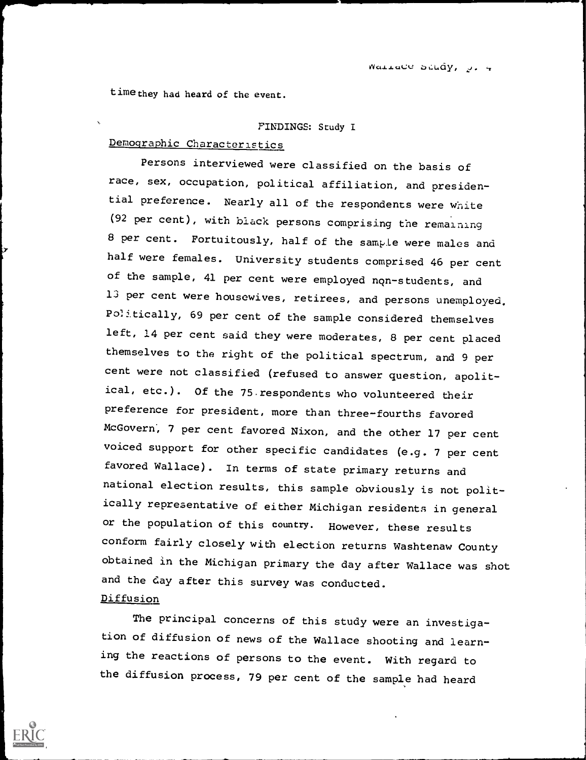time they had heard of the event.

#### FINDING: Study I

# Demographic Characteristics

Persons interviewed were classified on the basis of race, sex, occupation, political affiliation, and presidential preference. Nearly all of the respondents were white (92 per cent), with black persons comprising the remaining 8 per cent. Fortuitously, half of the sample were males and half were females. University students comprised 46 per cent of the sample, 41 per cent were employed non-students, and 13 per cent were housewives, retirees, and persons unemployed. Politically, 69 per cent of the sample considered themselves left, 14 per cent said they were moderates, 8 per cent placed themselves to the right of the political spectrum, and 9 per cent were not classified (refused to answer question, apolitical, etc.). Of the 75 respondents who volunteered their preference for president, more than three-fourths favored McGovern, 7 per cent favored Nixon, and the other 17 per cent voiced support for other specific candidates (e.g. 7 per cent favored Wallace). In terms of state primary returns and national election results, this sample obviously is not politically representative of either Michigan residents in general or the population of this countrY. However, these results conform fairly closely with election returns Washtenaw County obtained in the Michigan primary the day after Wallace was shot and the day after this survey was conducted. Diffusion

The principal concerns of this study were an investigation of diffusion of news of the Wallace shooting and learning the reactions of persons to the event. With regard to the diffusion process, 79 per cent of the sample had heard

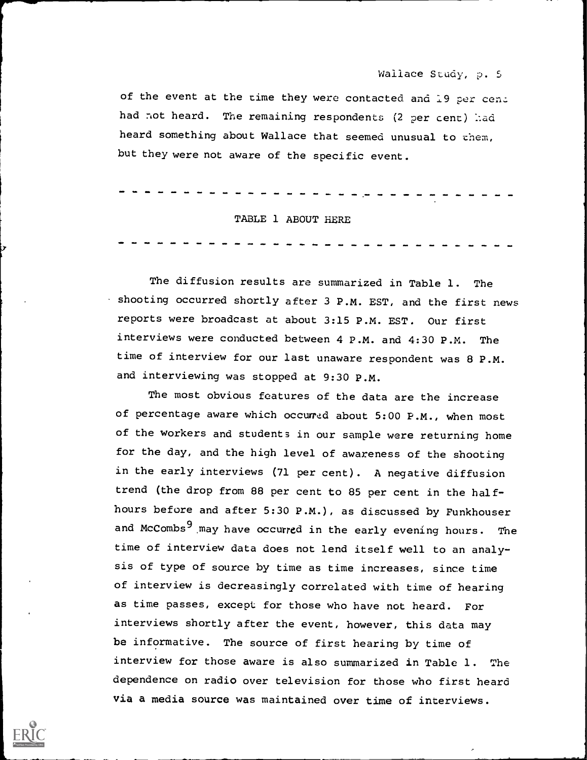#### Wallace Study, p. <sup>S</sup>

of the event at the time they were contacted and 19 per cen. had not heard. The remaining respondents (2 per cent) had heard something about Wallace that seemed unusual to them, but they were not aware of the specific event.

|  |  |  |  |  |  |  | -------------------------------------- |  |  |  |  |  |  |  |  |
|--|--|--|--|--|--|--|----------------------------------------|--|--|--|--|--|--|--|--|
|  |  |  |  |  |  |  | TABLE 1 ABOUT HERE                     |  |  |  |  |  |  |  |  |

The diffusion results are summarized in Table 1. The shooting occurred shortly after 3 P.M. EST, and the first news reports were broadcast at about 3:15 P.M. EST. Our first interviews were conducted between 4 P.M. and 4:30 P.M. The time of interview for our last unaware respondent was 8 P.M. and interviewing was stopped at 9:30 P.M.

The most obvious features of the data are the increase of percentage aware which occurred about 5:00 P.M., when most of the workers and students in our sample were returning home for the day, and the high level of awareness of the shooting in the early interviews (71 per cent). A negative diffusion trend (the drop from 88 per cent to 85 per cent in the halfhours before and after 5:30 P.M.), as discussed by Funkhouser and McCombs<sup>9</sup> may have occurred in the early evening hours. The time of interview data does not lend itself well to an analysis of type of source by time as time increases, since time of interview is decreasingly correlated with time of hearing as time passes, except for those who have not heard. For interviews shortly after the event, however, this data may be informative. The source of first hearing by time of interview for those aware is also summarized in Table 1. The dependence on radio over television for those who first heard via a media source was maintained over time of interviews.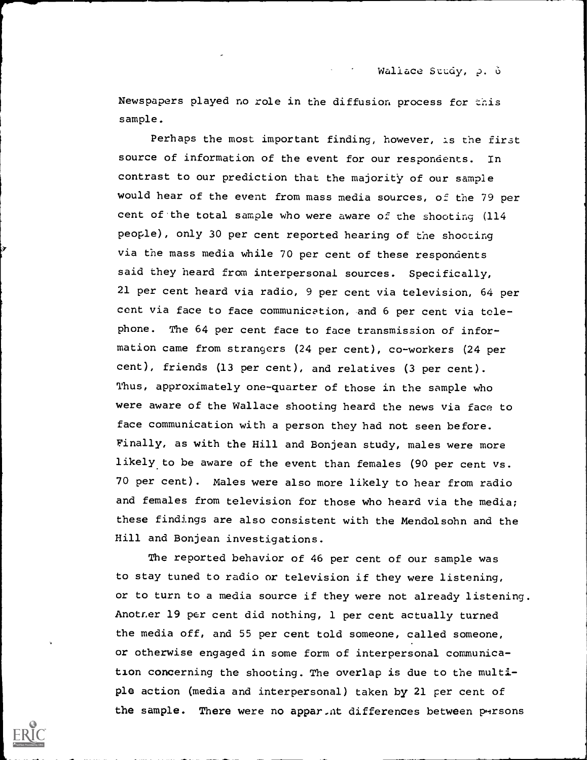Wallace Study, p. 6

Newspapers played no role in the diffusion process for this sample.

Perhaps the most important finding, however, is the first source of information of the event for our respondents. In contrast to our prediction that the majority of our sample would hear of the event from mass media sources, of the 79 per cent of'the total sample who were aware of the shooting (114 people), only 30 per cent reported hearing of the shooting via the mass media while 70 per cent of these respondents said they heard from interpersonal sources. Specifically, 21 per cent heard via radio, 9 per cent via television, 64 per cent via face to face communication, and 6 per cent via telephone. The 64 per cent face to face transmission of information came from strangers (24 per cent), co-workers (24 per cent), friends (13 per cent), and relatives (3 per cent). Thus, approximately one-quarter of those in the sample who were aware of the Wallace shooting heard the news via face to face communication with a person they had not seen before. Finally, as with the Hill and Bonjean study, males were more likely to be aware of the event than females (90 per cent vs. 70 per cent). Males were also more likely to hear from radio and females from television for those who heard via the media; these findings are also consistent with the Mendolsohn and the Hill and Bonjean investigations.

The reported behavior of 46 per cent of our sample was to stay tuned to radio or television if they were listening, or to turn to a media source if they were not already listening. Anotner 19 per cent did nothing, 1 per cent actually turned the media off, and 55 per cent told someone, called someone, or otherwise engaged in some form of interpersonal communication concerning the shooting. The overlap is due to the multiple action (media and interpersonal) taken by 21 per cent of the sample. There were no appar. At differences between pursons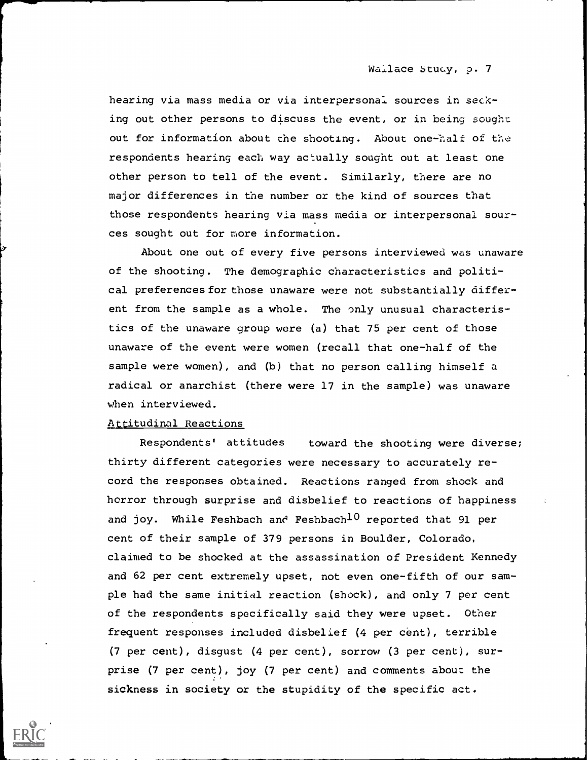Wallace Study, p. 7

hearing via mass media or via interpersonal sources in secking out other persons to discuss the event, or in being sought out for information about the shooting. About one-half of the respondents hearing each way actually sought out at least one other person to tell of the event. Similarly, there are no major differences in the number or the kind of sources that those respondents hearing via mass media or interpersonal sources sought out for more information.

About one out of every five persons interviewed was unaware of the shooting. The demographic characteristics and political preferences for those unaware were not substantially different from the sample as a whole. The only unusual characteristics of the unaware group were (a) that 75 per cent of those unaware of the event were women (recall that one-half of the sample were women), and (b) that no person calling himself a radical or anarchist (there were 17 in the sample) was unaware when interviewed.

### Attitudinal Reactions

Respondents' attitudes toward the shooting were diverse; thirty different categories were necessary to accurately record the responses obtained. Reactions ranged from shock and horror through surprise and disbelief to reactions of happiness and joy. While Feshbach and Feshbach<sup>10</sup> reported that 91 per cent of their sample of 379 persons in Boulder, Colorado, claimed to be shocked at the assassination of President Kennedy and 62 per cent extremely upset, not even one-fifth of our sample had the same initial reaction (shock), and only 7 per cent of the respondents specifically said they were upset. Other frequent responses included disbelief (4 per cent), terrible (7 per cent), disgust (4 per cent), sorrow (3 per cent), surprise (7 per cent), joy (7 per cent) and comments about the sickness in society or the stupidity of the specific act.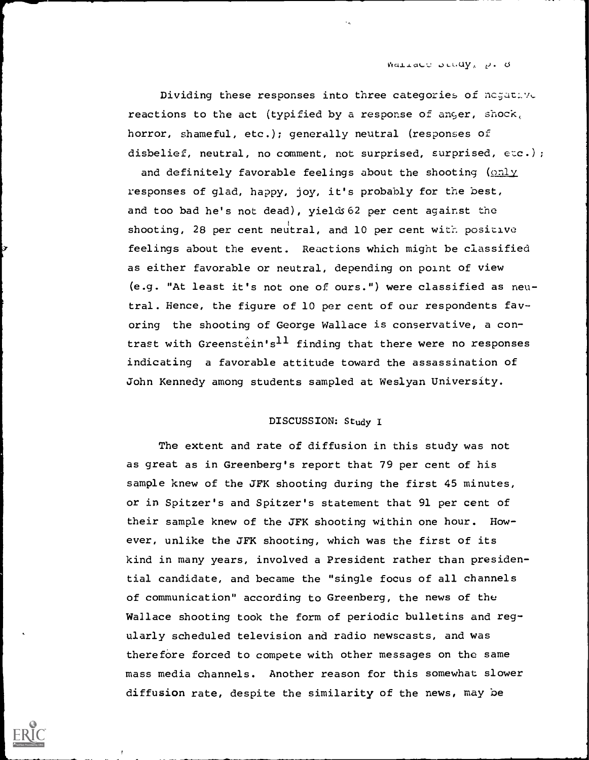Wallace below,  $p_i$ ,  $\theta$ .

Dividing these responses into three categories of negative reactions to the act (typified by a response of anger, shock, horror, shameful, etc.); generally neutral (responses of disbelief, neutral, no comment, not surprised, surprised, etc.);

and definitely favorable feelings about the shooting (only responses of glad, happy, joy, it's probably for the best, and too bad he's not dead), yields 62 per cent against the shooting, 28 per cent neutral, and 10 per cent with positive feelings about the event. Reactions which might be classified as either favorable or neutral, depending on point of view (e.g. "At least it's not one of ours.") were classified as neutral. Hence, the figure of 10 per cent of our respondents favoring the shooting of George Wallace is conservative, a contrast with Greenstein's<sup>11</sup> finding that there were no responses indicating a favorable attitude toward the assassination of John Kennedy among students sampled at Weslyan University.

### DISCUSSION: Study I

The extent and rate of diffusion in this study was not as great as in Greenberg's report that 79 per cent of his sample knew of the JFK shooting during the first 45 minutes, or in Spitzer's and Spitzer's statement that 91 per cent of their sample knew of the JFK shooting within one hour. However, unlike the JFK shooting, which was the first of its kind in many years, involved a President rather than presidential candidate, and became the "single focus of all channels of communication" according to Greenberg, the news of the Wallace shooting took the form of periodic bulletins and regularly scheduled television and radio newscasts, and was therefore forced to compete with other messages on the same mass media channels. Another reason for this somewhat slower diffusion rate, despite the similarity of the news, may be

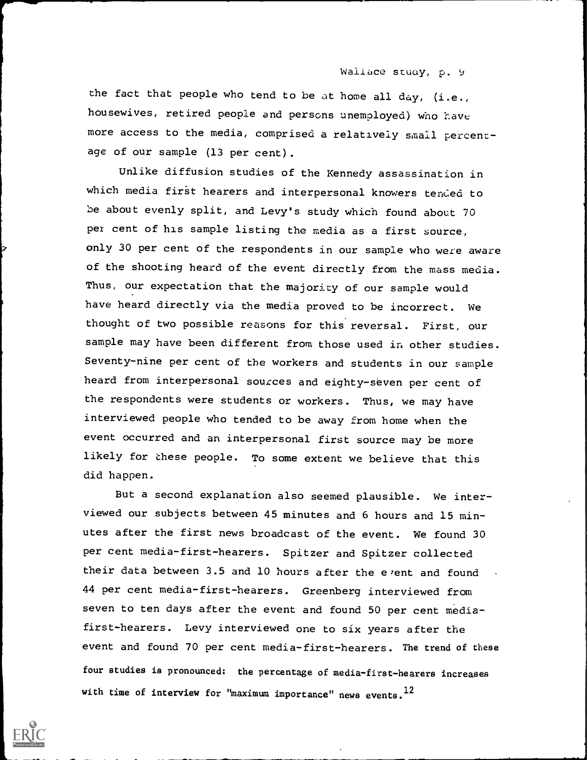#### Wallace study, p. 9

the fact that people who tend to be at home all  $day$ , (i.e., housewives, retired people and persons unemployed) who have more access to the media, comprised a relatively small percentage of our sample (13 per cent).

Unlike diffusion studies of the Kennedy assassination in which media first hearers and interpersonal knowers tended to be about evenly split, and Levy's study which found about 70 pex cent of his sample listing the media as a first source, only 30 per cent of the respondents in our sample who were aware of the shooting heard of the event directly from the mass media. Thus, our expectation that the majority of our sample would have heard directly via the media proved to be incorrect. We thought of two possible reasons for this reversal. First, our sample may have been different from those used in other studies. Seventy-nine per cent of the workers and students in our sample heard from interpersonal sources and eighty-seven per cent of the respondents were students or workers. Thus, we may have interviewed people who tended to be away from home when the event occurred and an interpersonal first source may be more likely for these people. To some extent we believe that this did happen.

But a second explanation also seemed plausible. We interviewed our subjects between 45 minutes and 6 hours and 15 minutes after the first news broadcast of the event. We found 30 per cent media-first-hearers. Spitzer and Spitzer collected their data between 3.5 and 10 hours after the event and found 44 per cent media-first-hearers. Greenberg interviewed from seven to ten days after the event and found 50 per cent mediafirst-hearers. Levy interviewed one to six years after the event and found 70 per cent media-first-hearers. The trend of these four studies is pronounced: the percentage of media-first-hearers increases with time of interview for "maximum importance" news events. 12

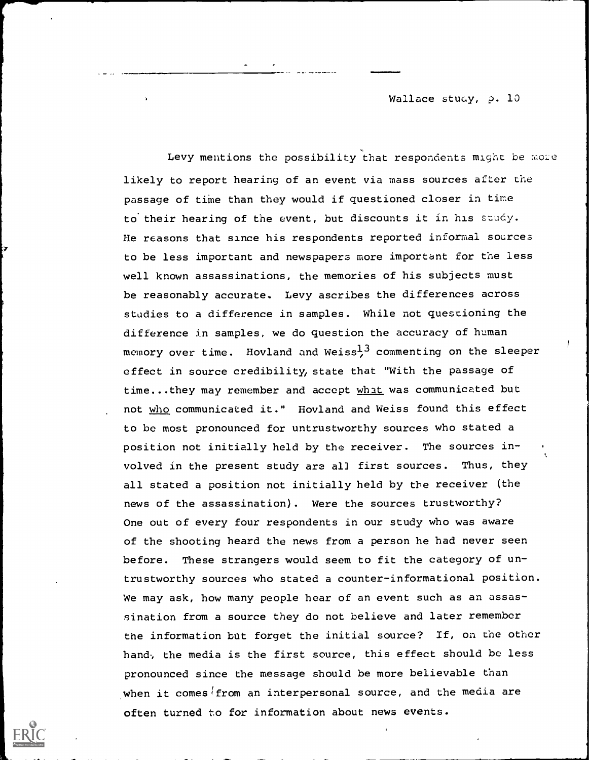Wallace study, p. 10

Levy mentions the possibility that respondents might be more likely to report hearing of an event via mass sources after the passage of time than they would if questioned closer in time to their hearing of the event, but discounts it in his study. He reasons that since his respondents reported informal sources to be less important and newspapers more important for the less well known assassinations, the memories of his subjects must be reasonably accurate. Levy ascribes the differences across studies to a difference in samples. While not questioning the difference in samples, we do question the accuracy of human memory over time. Hovland and Weiss<sup>13</sup> commenting on the sleeper effect in source credibility, state that "With the passage of time...they may remember and accept what was communicated but not who communicated it." Hovland and Weiss found this effect to be most pronounced for untrustworthy sources who stated a position not initially held by the receiver. The sources involved in the present study are all first sources. Thus, they all stated a position not initially held by the receiver (the news of the assassination). Were the sources trustworthy? One out of every four respondents in our study who was aware of the shooting heard the news from a person he had never seen before. These strangers would seem to fit the category of untrustworthy sources who stated a counter-informational position. We may ask, how many people hear of an event such as an assassination from a source they do not believe and later remember the information but forget the initial source? If, on the other hand, the media is the first source, this effect should be less pronounced since the message should be more believable than when it comes from an interpersonal source, and the media are often turned to for information about news events.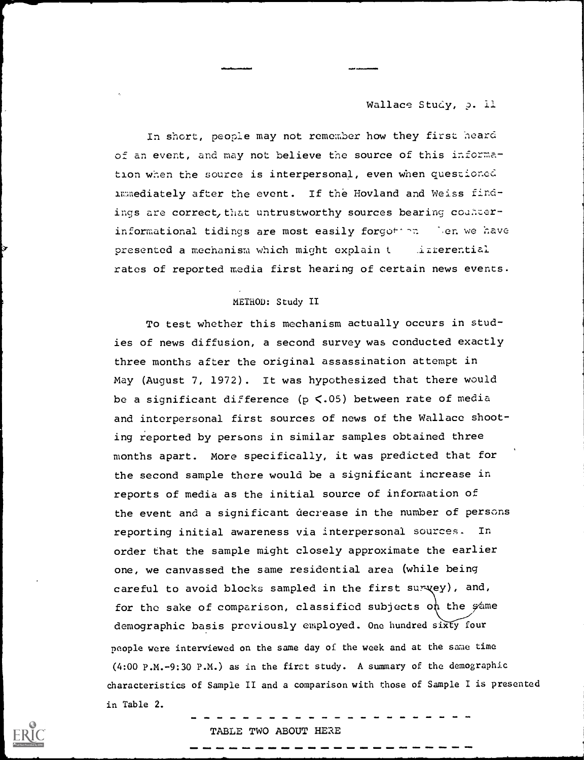#### Wallace Study, p. 11

In short, people may not remember how they first heard of an event, and may not believe the source of this information when the source is interpersonal, even when questioned immediately after the event. If the Hovland and Weiss findings are correct, that untrustworthy sources bearing counterinformational tidings are most easily forgotion. Nen we have presented a mechanism which might explain t .izizerential rates of reported media first hearing of certain news events.

#### METHOD: Study II

To test whether this mechanism actually occurs in studies of news diffusion, a second survey was conducted exactly three months after the original assassination attempt in May (August 7, 1972). It was hypothesized that there would be a significant difference ( $p < .05$ ) between rate of media and interpersonal first sources of news of the Wallace shooting reported by persons in similar samples obtained three months apart. More specifically, it was predicted that for the second sample there would be a significant increase in reports of media as the initial source of information of the event and a significant decrease in the number of persons reporting initial awareness via interpersonal sources. In order that the sample might closely approximate the earlier one, we canvassed the same residential area (while being careful to avoid blocks sampled in the first survey), and, for the sake of comparison, classified subjects on the  $\phi$  ame demographic basis previously employed. One hundred sixty four people were interviewed on the same day of the week and at the same time (4:00 P.M.-9:30 P.M.) as in the first study. A summary of the demographic characteristics of Sample II and a comparison with those of Sample I is presented in Table 2.

#### TABLE TWO ABOUT HERE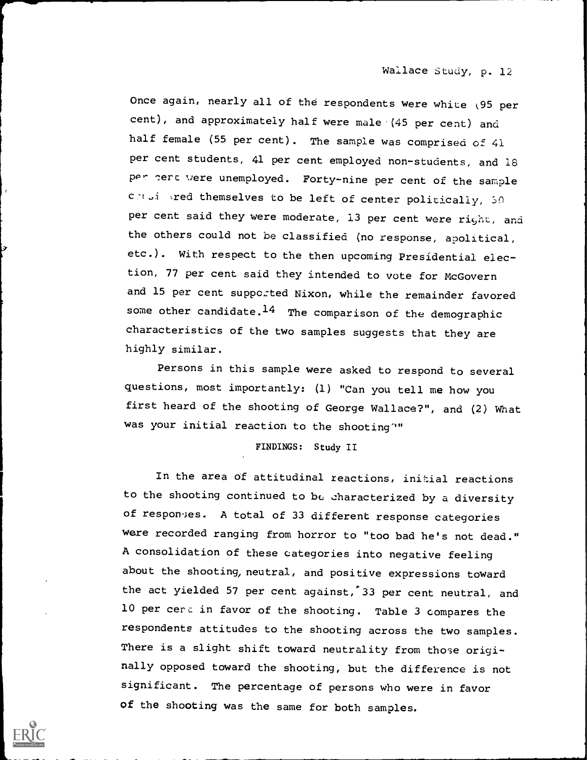Once again, nearly all of the respondents were white (95 per cent), and approximately half were male (45 per cent) and half female (55 per cent). The sample was comprised of 41 per cent students, 41 per cent employed non-students, and 18 per serc were unemployed. Forty-nine per cent of the sample contains red themselves to be left of center politically, 50 per cent said they were moderate, 13 per cent were right, and the others could not be classified (no response, apolitical, etc.). With respect to the then upcoming Presidential election, 77 per cent said they intended to vote for McGovern and 15 per cent supported Nixon, while the remainder favored some other candidate. $14$  The comparison of the demographic characteristics of the two samples suggests that they are highly similar.

Persons in this sample were asked to respond to several questions, most importantly: (1) "Can you tell me how you first heard of the shooting of George Wallace?", and (2) What was your initial reaction to the shooting""

#### FINDINGS: Study II

In the area of attitudinal reactions, initial reactions to the shooting continued to be characterized by a diversity of responses. A total of 33 different response categories were recorded ranging from horror to "too bad he's not dead." A consolidation of these categories into negative feeling about the shooting, neutral, and positive expressions toward the act yielded 57 per cent against, 33 per cent neutral, and 10 per cerc in favor of the shooting. Table 3 compares the respondents attitudes to the shooting across the two samples. There is a slight shift toward neutrality from those originally opposed toward the shooting, but the difference is not significant. The percentage of persons who were in favor of the shooting was the same for both samples.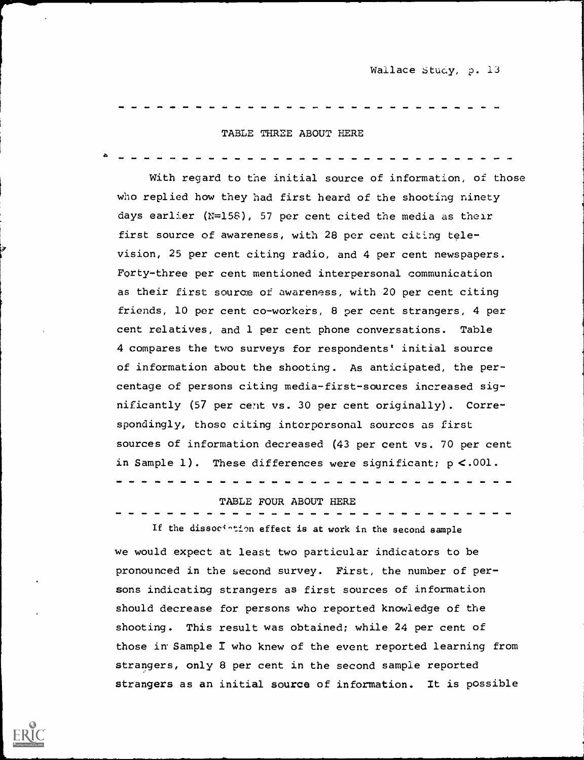Wallace Study, p. 13

### TABLE THREE ABOUT HERE

With regard to the initial source of information, of those who replied how they had first heard of the shooting ninety days earlier  $(N=158)$ , 57 per cent cited the media as their first source of awareness, with 28 per cent citing television, 25 per cent citing radio, and 4 per cent newspapers. Forty-three per cent mentioned interpersonal communication as their first source of awareness, with 20 per cent citing friends, 10 per cent co-workers, 8 per cent strangers, 4 per cent relatives, and 1 per cent phone conversations. Table 4 compares the two surveys for respondents' initial source of information about the shooting. As anticipated, the percentage of persons citing media-first-sources increased significantly (57 per cent vs. 30 per cent originally). Correspondingly, those citing interpersonal sources as first sources of information decreased (43 per cent vs. 70 per cent in Sample 1). These differences were significant;  $p < .001$ .

TABLE FOUR ABOUT HERE

If the dissoci-tion effect is at work in the second sample we would expect at least two particular indicators to be pronounced in the second survey. First, the number of persons indicating strangers as first sources of information should decrease for persons who reported knowledge of the shooting. This result was obtained; while 24 per cent of those in Sample I who knew of the event reported learning from strangers, only 8 per cent in the second sample reported strangers as an initial source of information. It is possible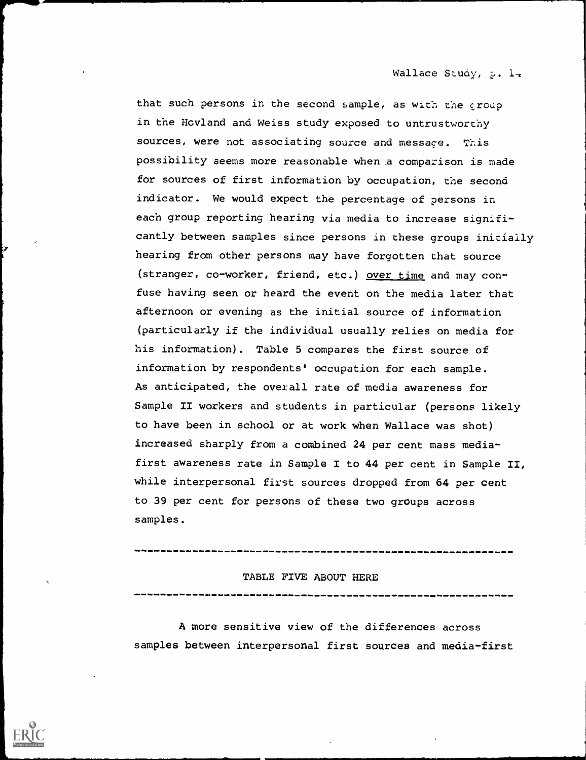Wallace Study, p. 1-

that such persons in the second sample, as with the group in the Hovland and Weiss study exposed to untrustworthy sources, were not associating source and message. This possibility seems more reasonable when a comparison is made for sources of first information by occupation, the second indicator. We would expect the percentage of persons in each group reporting hearing via media to increase significantly between samples since persons in these groups initially hearing from other persons may have forgotten that source (stranger, co-worker, friend, etc.) over time and may confuse having seen or heard the event on the media later that afternoon or evening as the initial source of information (particularly if the individual usually relies on media for his information). Table 5 compares the first source of information by respondents' occupation for each sample. As anticipated, the overall rate of media awareness for Sample II workers and students in particular (persons likely to have been in school or at work when Wallace was shot) increased sharply from a combined 24 per cent mass mediafirst awareness rate in Sample I to 44 per cent in Sample II, while interpersonal first sources dropped from 64 per cent to 39 per cent for persons of these two groups across samples.

# TABLE FIVE ABOUT HERE

A more sensitive view of the differences across samples between interpersonal first sources and media-first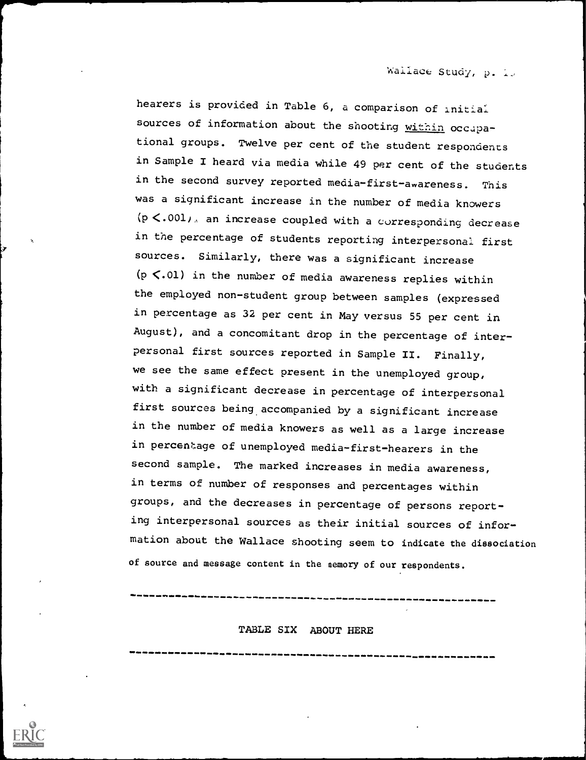hearers is provided in Table 6, a comparison of initial sources of information about the shooting within occupational groups. Twelve per cent of the student respondents in Sample I heard via media while 49 per cent of the students in the second survey reported media-first-awareness. This was a significant increase in the number of media knowers  $(p<.001)$ , an increase coupled with a corresponding decrease in the percentage of students reporting interpersonal first sources. Similarly, there was a significant increase (p $\langle$ .01) in the number of media awareness replies within the employed non-student group between samples (expressed in percentage as 32 per cent in May versus 55 per cent in August), and a concomitant drop in the percentage of interpersonal first sources reported in Sample II. Finally, we see the same effect present in the unemployed group, with a significant decrease in percentage of interpersonal first sources being accompanied by a significant increase in the number of media knowers as well as a large increase in percentage of unemployed media-first-hearers in the second sample. The marked increases in media awareness, in terms of number of responses and percentages within groups, and the decreases in percentage of persons reporting interpersonal sources as their initial sources of information about the Wallace shooting seem to indicate the dissociation of source and message content in the nemory of our respondents.

TABLE SIX ABOUT HERE

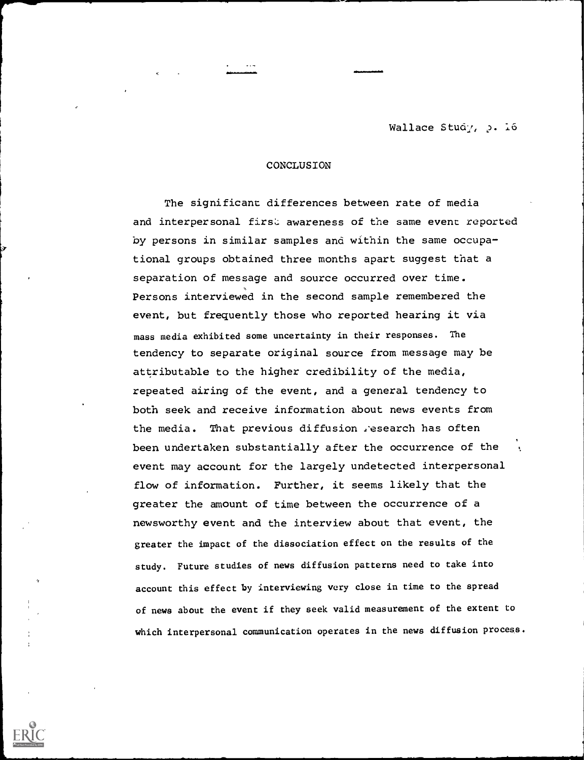Wallace Study, p. 16

#### **CONCLUSION**

The significant differences between rate of media and interpersonal first awareness of the same event reported by persons in similar samples and within the same occupational groups obtained three months apart suggest that a separation of message and source occurred over time. Persons interviewed in the second sample remembered the event, but frequently those who reported hearing it via mass media exhibited some uncertainty in their responses. The tendency to separate original source from message may be attributable to the higher credibility of the media, repeated airing of the event, and a general tendency to both seek and receive information about news events from the media. That previous diffusion research has often been undertaken substantially after the occurrence of the event may account for the largely undetected interpersonal flow of information. Further, it seems likely that the greater the amount of time between the occurrence of a newsworthy event and the interview about that event, the greater the impact of the dissociation effect on the results of the study. Future studies of news diffusion patterns need to take into account this effect by interviewing very close in time to the spread of news about the event if they seek valid measurement of the extent to which interpersonal communication operates in the news diffusion process.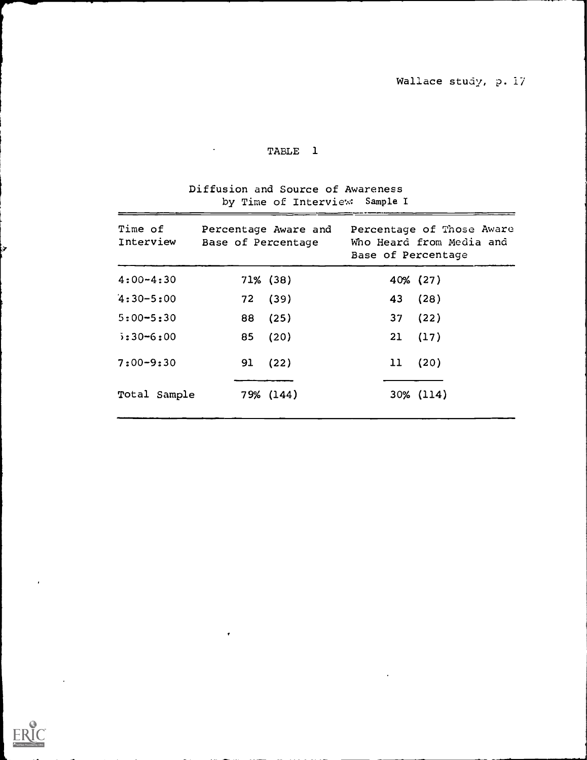# Diffusion and Source of Awareness by Time of Interview: Sample I

| Time of<br>Interview | Base of Percentage | Percentage Aware and | Base of Percentage | Percentage of Those Aware<br>Who Heard from Media and |
|----------------------|--------------------|----------------------|--------------------|-------------------------------------------------------|
| $4:00 - 4:30$        |                    | $71\%$ (38)          |                    | 40% (27)                                              |
| $4:30 - 5:00$        | 72                 | (39)                 | 43                 | (28)                                                  |
| $5:00 - 5:30$        | 88                 | (25)                 | 37 <sub>2</sub>    | (22)                                                  |
| $5:30 - 6:00$        | 85                 | (20)                 | 21                 | (17)                                                  |
| $7:00 - 9:30$        | 91                 | (22)                 | 11                 | (20)                                                  |
| Total Sample         |                    | 79% (144)            |                    | 30% (114)                                             |

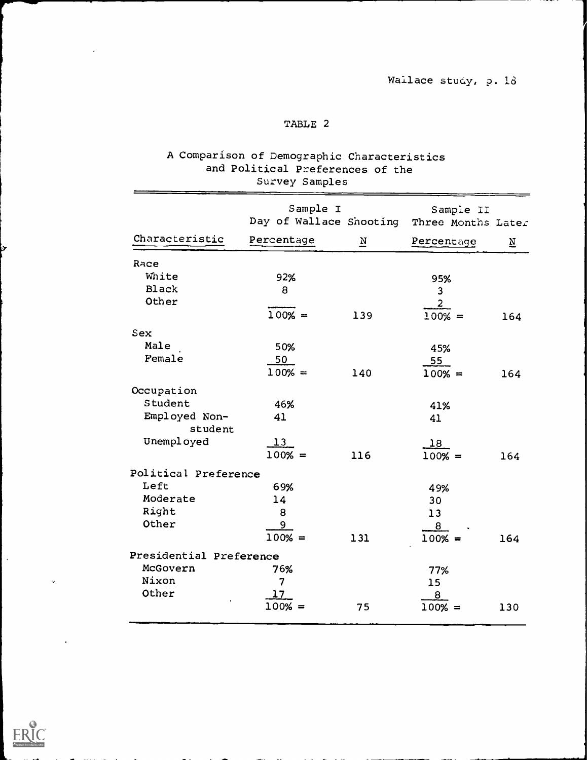|                          | Survey Samples                      |                         |                                 |                         |
|--------------------------|-------------------------------------|-------------------------|---------------------------------|-------------------------|
|                          | Sample I<br>Day of Wallace Shooting |                         | Sample II<br>Three Months Later |                         |
| Characteristic           | Percentage                          | $\overline{\mathbb{N}}$ | Percentage                      | $\overline{\mathbf{N}}$ |
| Race                     |                                     |                         |                                 |                         |
| White                    | 92%                                 |                         | 95%                             |                         |
| <b>Black</b>             | 8                                   |                         | 3                               |                         |
| Other                    |                                     |                         | $\overline{2}$                  |                         |
|                          | $100% =$                            | 139                     | $100% =$                        | 164                     |
| Sex                      |                                     |                         |                                 |                         |
| Male                     | 50%                                 |                         | 45%                             |                         |
| Female                   | 50                                  |                         | 55                              |                         |
|                          | $100% =$                            | 140                     | $100% =$                        | 164                     |
| Occupation               |                                     |                         |                                 |                         |
| Student                  | 46%                                 |                         | 41%                             |                         |
| Employed Non-<br>student | 41                                  |                         | 41                              |                         |
| Unemployed               | $\overline{13}$                     |                         | 18                              |                         |
|                          | $100% =$                            | 116                     | $100% =$                        | 164                     |
| Political Preference     |                                     |                         |                                 |                         |
| Left                     | 69%                                 |                         | 49%                             |                         |
| Moderate                 | 14                                  |                         | 30                              |                         |
| Right                    | 8                                   |                         | 13                              |                         |
| Other                    | 9                                   |                         | 8                               |                         |
|                          | $100% =$                            | 131                     | $100% =$                        | 164                     |
| Presidential Preference  |                                     |                         |                                 |                         |
| McGovern                 | 76%                                 |                         | 77%                             |                         |
| Nixon                    | $\overline{\mathcal{L}}$            |                         | 15                              |                         |
| Other                    | 17                                  |                         | $\overline{8}$                  |                         |
|                          | $100% =$                            | 75                      | $100% =$                        | 130                     |

# A Comparison of Demographic Characteristics and Political Preferences of the



 $\hat{\mathcal{A}}$ 

 $\alpha$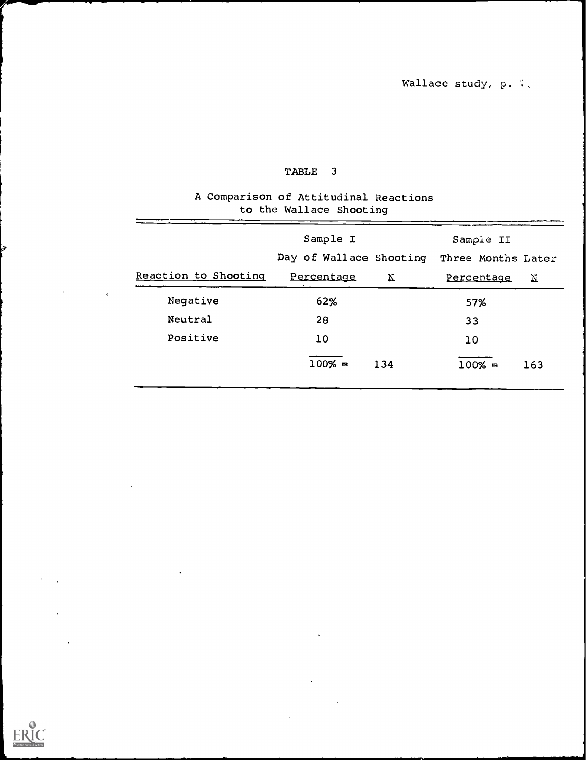### A Comparison of Attitudinal Reactions to the Wallace Shooting

|                      | Sample I                |             | Sample II          |     |
|----------------------|-------------------------|-------------|--------------------|-----|
|                      | Day of Wallace Shooting |             | Three Months Later |     |
| Reaction to Shooting | Percentage              | $\mathbf N$ | Percentage         | Ν   |
| Negative             | 62%                     |             | 57%                |     |
| Neutral              | 28                      |             | 33                 |     |
| Positive             | 10                      |             | 10                 |     |
|                      | $100% =$                | 134         | $100% =$           | 163 |
|                      |                         |             |                    |     |

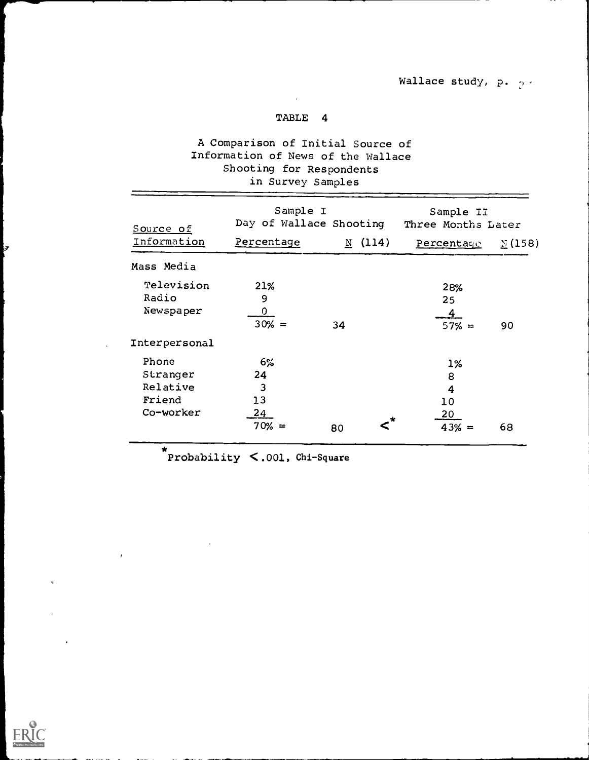# A Comparison of Initial Source of Information of News of the Wallace Shooting for Respondents in Survey Samples

| Source of     | Sample I<br>Day of Wallace Shooting |                       | Sample II<br>Three Months Later |               |
|---------------|-------------------------------------|-----------------------|---------------------------------|---------------|
| Information   | Percentage                          | (114)<br>$\mathbf{N}$ | Percentage                      | $\Sigma(158)$ |
| Mass Media    |                                     |                       |                                 |               |
| Television    | 21%                                 |                       | 28%                             |               |
| Radio         | 9                                   |                       | 25                              |               |
| Newspaper     | 0                                   |                       | $\overline{\mathbf{4}}$         |               |
|               | $30% =$                             | 34                    | $57% =$                         | 90            |
| Interpersonal |                                     |                       |                                 |               |
| Phone         | $6\%$                               |                       | $1\%$                           |               |
| Stranger      | 24                                  |                       | 8                               |               |
| Relative      | 3                                   |                       | 4                               |               |
| Friend        | 13                                  |                       | 10                              |               |
| Co-worker     | 24                                  | . *                   | 20                              |               |
|               | $70% =$                             | 80                    | $43% =$                         | 68            |

\* Probability < .001, Chi-Square



 $\overline{1}$ 

b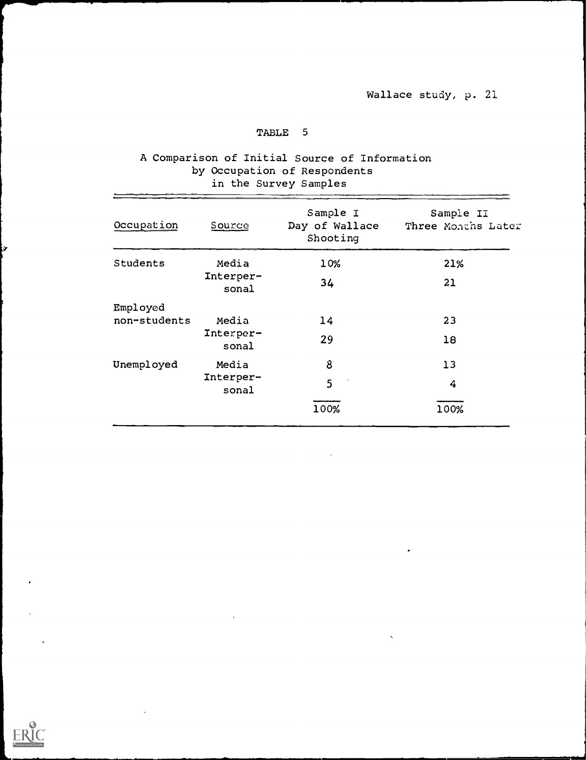### A Comparison of Initial Source of Information by Occupation of Respondents in the Survey Samples

| Occupation   | Source             | Sample I<br>Day of Wallace<br>Shooting | Sample II<br>Three Months Later |
|--------------|--------------------|----------------------------------------|---------------------------------|
| Students     | Media              | 10%                                    | 21%                             |
|              | Interper-<br>sonal | 34                                     | 21                              |
| Employed     |                    |                                        |                                 |
| non-students | Media              | 14                                     | 23                              |
|              | Interper-<br>sonal | 29                                     | 18                              |
| Unemployed   | Media              | 8                                      | 13                              |
|              | Interper-<br>sonal | 5                                      | 4                               |
|              |                    | 100%                                   | 100%                            |

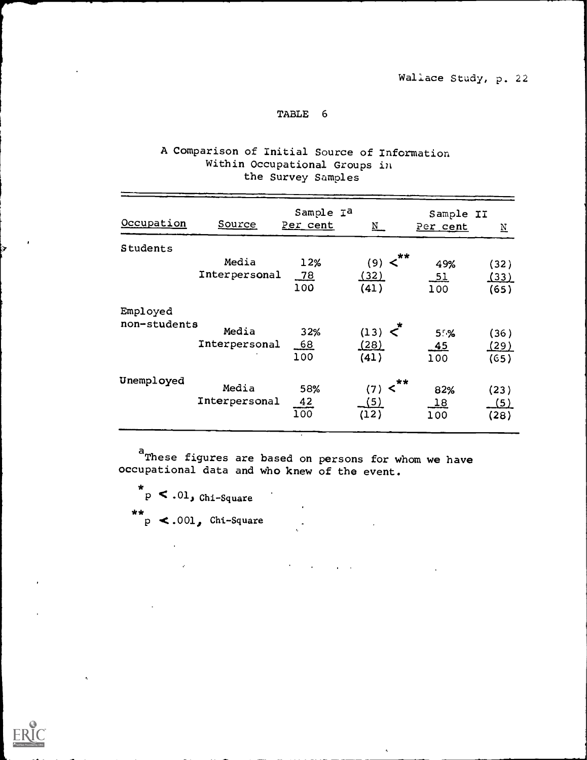# A Comparison of Initial Source of Information Within Occupational Groups in the Survey Samples

| Occupation               | Source                 | Sample I <sup>a</sup><br>Per cent | $\underline{\text{N}}$                            | Sample II<br>Per cent         | $\underline{\text{N}}$      |
|--------------------------|------------------------|-----------------------------------|---------------------------------------------------|-------------------------------|-----------------------------|
| Students                 | Media<br>Interpersonal | 12%<br>$\frac{78}{2}$<br>100      | $(9) <$ **<br><u>(32)</u><br>(41)                 | 49%<br>$\frac{51}{1}$<br>100  | (32)<br><u>(33)</u><br>(65) |
| Employed<br>non-students | Media<br>Interpersonal | 32%<br>68<br>100                  | $(13)$ $\leq$ <sup>*</sup><br><u>(28)</u><br>(41) | $5. \%$<br>45<br>100          | (36)<br><u>(29)</u><br>(65) |
| Unemployed               | Media<br>Interpersonal | 58%<br>$\frac{42}{100}$           | $**$<br>$\leq$<br>(7)<br>(5)<br>(12)              | 82%<br>$\overline{18}$<br>100 | (23)<br>(5)<br>(28)         |

<sup>a</sup>These figures are based on persons for whom we have occupational data and who knew of the event.

 $\mathcal{L}^{\text{max}}$ 

 $\mathbf{r}$ 

\* \* \*  $P \sim 0.01$ , Chi-Square p < .001, Chi-Square

 $\mathcal{L}^{\mathcal{L}}$ 

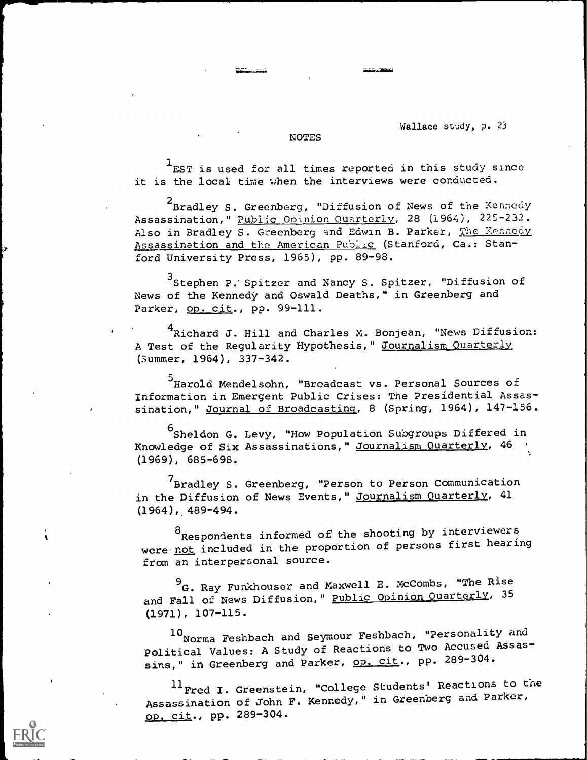### Wallace study, p. 23

#### **NOTES**

 $1$ EST is used for all times reported in this study since it is the local time when the interviews were conducted.

2<br>Bradley S. Greenberg, "Diffusion of News of the Kennedy Assassination," Public Opinion Quarterly, 28 (1964), 225-232. Also in Bradley S. Greenberg and Edwin B. Parker, The Kennedy Assassination and the American Public (Stanford, Ca.: Stanford University Press, 1965), pp. 89-98.

3Stephen P. Spitzer and Nancy S. Spitzer, "Diffusion of News of the Kennedy and Oswald Deaths," in Greenberg and Parker, op. cit., pp. 99-111.

<sup>4</sup>Richard J. Hill and Charles M. Bonjean, "News Diffusion: A Test of the Regularity Hypothesis," Journalism Quarterly (Summer, 1964), 33?-342.

<sup>5</sup> Harold Mendelsohn, "Broadcast vs. Personal Sources of Information in Emergent Public Crises: The Presidential Assassination," Journal of Broadcasting, 8 (Spring, 1964), 147-156.

6<br>Sheldon G. Levy, "How Population Subgroups Differed in Knowledge of Six Assassinations," Journalism Quarterly, 46 (1969), 685-698.

<sup>7</sup>Bradley S. Greenberg, "Person to Person Communication in the Diffusion of News Events," Journalism Quarterly, 41  $(1964)$ , 489-494.

<sup>8</sup>Respondents informed of the shooting by interviewers were not included in the proportion of persons first hearing from an interpersonal source.

 $^{9}$ G. Ray Funkhouser and Maxwell E. McCombs, "The Rise and Fall of News Diffusion," Public Opinion Quarterly, 35 (1971), 107-115.

10 Norma Feshbach and Seymour Feshbach, "Personality and Political Values: A Study of Reactions to Two Accused Assassins," in Greenberg and Parker, op. cit., pp. 289-304.

<sup>11</sup> Fred I. Greenstein, "College Students' Reactions to the Assassination of John F. Kennedy," in Greenberg and Parker, op. cit., pp. 289-304.

a